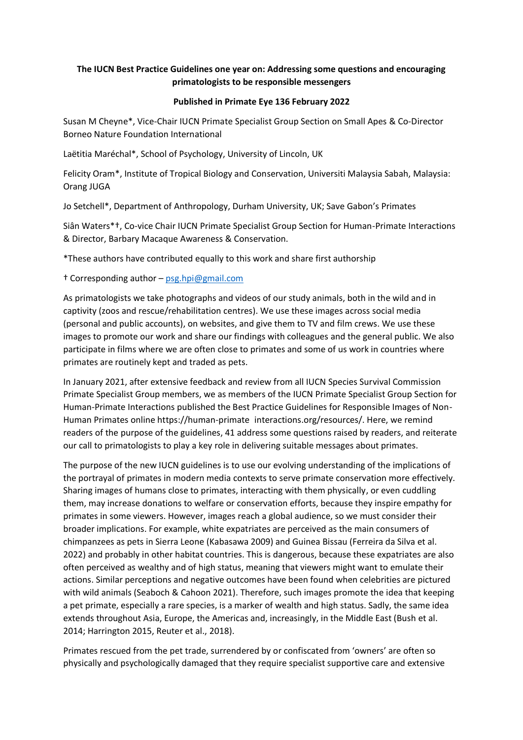# **The IUCN Best Practice Guidelines one year on: Addressing some questions and encouraging primatologists to be responsible messengers**

## **Published in Primate Eye 136 February 2022**

Susan M Cheyne\*, Vice-Chair IUCN Primate Specialist Group Section on Small Apes & Co-Director Borneo Nature Foundation International

Laëtitia Maréchal\*, School of Psychology, University of Lincoln, UK

Felicity Oram\*, Institute of Tropical Biology and Conservation, Universiti Malaysia Sabah, Malaysia: Orang JUGA

Jo Setchell\*, Department of Anthropology, Durham University, UK; Save Gabon's Primates

Siân Waters\*†, Co-vice Chair IUCN Primate Specialist Group Section for Human-Primate Interactions & Director, Barbary Macaque Awareness & Conservation.

\*These authors have contributed equally to this work and share first authorship

† Corresponding author – [psg.hpi@gmail.com](mailto:psg.hpi@gmail.com)

As primatologists we take photographs and videos of our study animals, both in the wild and in captivity (zoos and rescue/rehabilitation centres). We use these images across social media (personal and public accounts), on websites, and give them to TV and film crews. We use these images to promote our work and share our findings with colleagues and the general public. We also participate in films where we are often close to primates and some of us work in countries where primates are routinely kept and traded as pets.

In January 2021, after extensive feedback and review from all IUCN Species Survival Commission Primate Specialist Group members, we as members of the IUCN Primate Specialist Group Section for Human-Primate Interactions published the Best Practice Guidelines for Responsible Images of Non-Human Primates online https://human-primate interactions.org/resources/. Here, we remind readers of the purpose of the guidelines, 41 address some questions raised by readers, and reiterate our call to primatologists to play a key role in delivering suitable messages about primates.

The purpose of the new IUCN guidelines is to use our evolving understanding of the implications of the portrayal of primates in modern media contexts to serve primate conservation more effectively. Sharing images of humans close to primates, interacting with them physically, or even cuddling them, may increase donations to welfare or conservation efforts, because they inspire empathy for primates in some viewers. However, images reach a global audience, so we must consider their broader implications. For example, white expatriates are perceived as the main consumers of chimpanzees as pets in Sierra Leone (Kabasawa 2009) and Guinea Bissau (Ferreira da Silva et al. 2022) and probably in other habitat countries. This is dangerous, because these expatriates are also often perceived as wealthy and of high status, meaning that viewers might want to emulate their actions. Similar perceptions and negative outcomes have been found when celebrities are pictured with wild animals (Seaboch & Cahoon 2021). Therefore, such images promote the idea that keeping a pet primate, especially a rare species, is a marker of wealth and high status. Sadly, the same idea extends throughout Asia, Europe, the Americas and, increasingly, in the Middle East (Bush et al. 2014; Harrington 2015, Reuter et al., 2018).

Primates rescued from the pet trade, surrendered by or confiscated from 'owners' are often so physically and psychologically damaged that they require specialist supportive care and extensive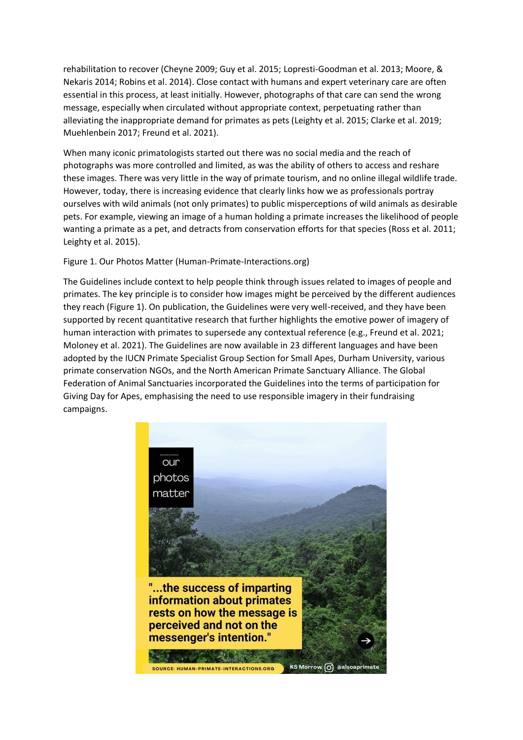rehabilitation to recover (Cheyne 2009; Guy et al. 2015; Lopresti-Goodman et al. 2013; Moore, & Nekaris 2014; Robins et al. 2014). Close contact with humans and expert veterinary care are often essential in this process, at least initially. However, photographs of that care can send the wrong message, especially when circulated without appropriate context, perpetuating rather than alleviating the inappropriate demand for primates as pets (Leighty et al. 2015; Clarke et al. 2019; Muehlenbein 2017; Freund et al. 2021).

When many iconic primatologists started out there was no social media and the reach of photographs was more controlled and limited, as was the ability of others to access and reshare these images. There was very little in the way of primate tourism, and no online illegal wildlife trade. However, today, there is increasing evidence that clearly links how we as professionals portray ourselves with wild animals (not only primates) to public misperceptions of wild animals as desirable pets. For example, viewing an image of a human holding a primate increases the likelihood of people wanting a primate as a pet, and detracts from conservation efforts for that species (Ross et al. 2011; Leighty et al. 2015).

### Figure 1. Our Photos Matter (Human-Primate-Interactions.org)

The Guidelines include context to help people think through issues related to images of people and primates. The key principle is to consider how images might be perceived by the different audiences they reach (Figure 1). On publication, the Guidelines were very well-received, and they have been supported by recent quantitative research that further highlights the emotive power of imagery of human interaction with primates to supersede any contextual reference (e.g., Freund et al. 2021; Moloney et al. 2021). The Guidelines are now available in 23 different languages and have been adopted by the IUCN Primate Specialist Group Section for Small Apes, Durham University, various primate conservation NGOs, and the North American Primate Sanctuary Alliance. The Global Federation of Animal Sanctuaries incorporated the Guidelines into the terms of participation for Giving Day for Apes, emphasising the need to use responsible imagery in their fundraising campaigns.

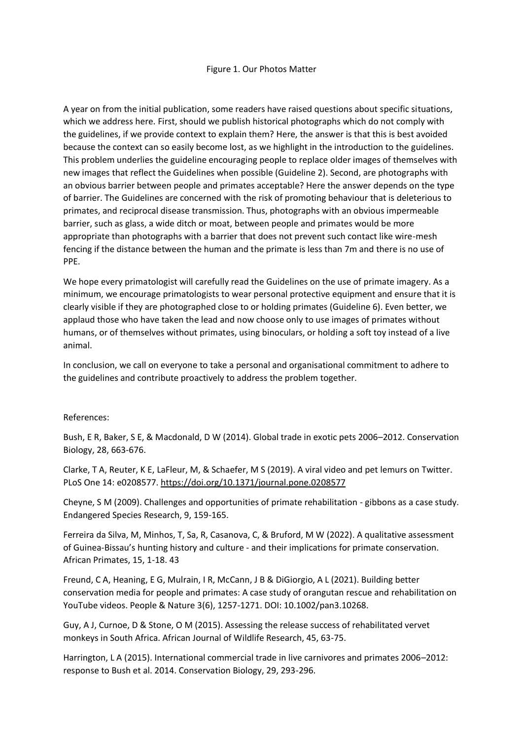#### Figure 1. Our Photos Matter

A year on from the initial publication, some readers have raised questions about specific situations, which we address here. First, should we publish historical photographs which do not comply with the guidelines, if we provide context to explain them? Here, the answer is that this is best avoided because the context can so easily become lost, as we highlight in the introduction to the guidelines. This problem underlies the guideline encouraging people to replace older images of themselves with new images that reflect the Guidelines when possible (Guideline 2). Second, are photographs with an obvious barrier between people and primates acceptable? Here the answer depends on the type of barrier. The Guidelines are concerned with the risk of promoting behaviour that is deleterious to primates, and reciprocal disease transmission. Thus, photographs with an obvious impermeable barrier, such as glass, a wide ditch or moat, between people and primates would be more appropriate than photographs with a barrier that does not prevent such contact like wire-mesh fencing if the distance between the human and the primate is less than 7m and there is no use of PPE.

We hope every primatologist will carefully read the Guidelines on the use of primate imagery. As a minimum, we encourage primatologists to wear personal protective equipment and ensure that it is clearly visible if they are photographed close to or holding primates (Guideline 6). Even better, we applaud those who have taken the lead and now choose only to use images of primates without humans, or of themselves without primates, using binoculars, or holding a soft toy instead of a live animal.

In conclusion, we call on everyone to take a personal and organisational commitment to adhere to the guidelines and contribute proactively to address the problem together.

#### References:

Bush, E R, Baker, S E, & Macdonald, D W (2014). Global trade in exotic pets 2006–2012. Conservation Biology, 28, 663-676.

Clarke, T A, Reuter, K E, LaFleur, M, & Schaefer, M S (2019). A viral video and pet lemurs on Twitter. PLoS One 14: e0208577.<https://doi.org/10.1371/journal.pone.0208577>

Cheyne, S M (2009). Challenges and opportunities of primate rehabilitation - gibbons as a case study. Endangered Species Research, 9, 159-165.

Ferreira da Silva, M, Minhos, T, Sa, R, Casanova, C, & Bruford, M W (2022). A qualitative assessment of Guinea-Bissau's hunting history and culture - and their implications for primate conservation. African Primates, 15, 1-18. 43

Freund, C A, Heaning, E G, Mulrain, I R, McCann, J B & DiGiorgio, A L (2021). Building better conservation media for people and primates: A case study of orangutan rescue and rehabilitation on YouTube videos. People & Nature 3(6), 1257-1271. DOI: 10.1002/pan3.10268.

Guy, A J, Curnoe, D & Stone, O M (2015). Assessing the release success of rehabilitated vervet monkeys in South Africa. African Journal of Wildlife Research, 45, 63-75.

Harrington, L A (2015). International commercial trade in live carnivores and primates 2006–2012: response to Bush et al. 2014. Conservation Biology, 29, 293-296.